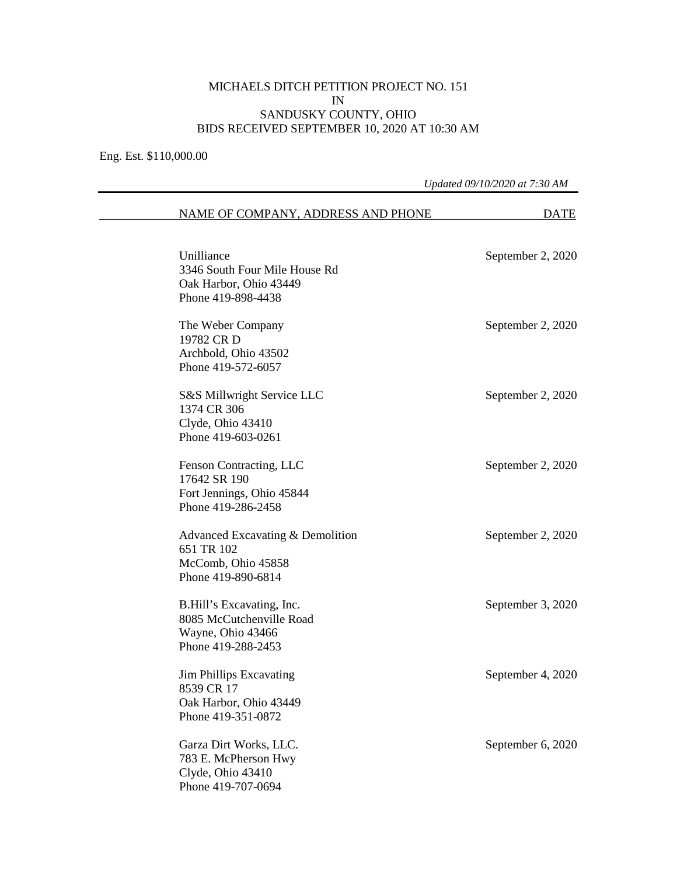## MICHAELS DITCH PETITION PROJECT NO. 151 IN SANDUSKY COUNTY, OHIO BIDS RECEIVED SEPTEMBER 10, 2020 AT 10:30 AM

Eng. Est. \$110,000.00

## *Updated 09/10/2020 at 7:30 AM*  NAME OF COMPANY, ADDRESS AND PHONE DATE Unilliance September 2, 2020 3346 South Four Mile House Rd Oak Harbor, Ohio 43449 Phone 419-898-4438 The Weber Company September 2, 2020 19782 CR D Archbold, Ohio 43502 Phone 419-572-6057 S&S Millwright Service LLC September 2, 2020 1374 CR 306 Clyde, Ohio 43410 Phone 419-603-0261 Fenson Contracting, LLC September 2, 2020 17642 SR 190 Fort Jennings, Ohio 45844 Phone 419-286-2458 Advanced Excavating & Demolition September 2, 2020 651 TR 102 McComb, Ohio 45858 Phone 419-890-6814 B.Hill's Excavating, Inc. September 3, 2020 8085 McCutchenville Road Wayne, Ohio 43466 Phone 419-288-2453 Jim Phillips Excavating September 4, 2020 8539 CR 17 Oak Harbor, Ohio 43449 Phone 419-351-0872 Garza Dirt Works, LLC. September 6, 2020 783 E. McPherson Hwy Clyde, Ohio 43410

Phone 419-707-0694